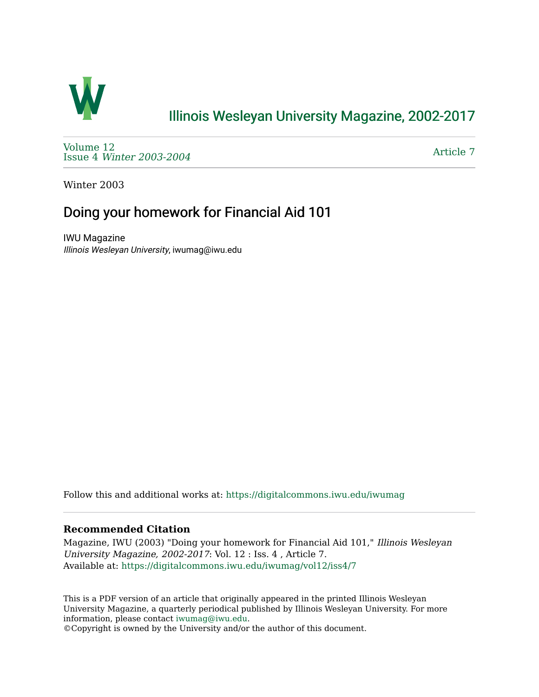

## [Illinois Wesleyan University Magazine, 2002-2017](https://digitalcommons.iwu.edu/iwumag)

[Volume 12](https://digitalcommons.iwu.edu/iwumag/vol12)  Issue 4 [Winter 2003-2004](https://digitalcommons.iwu.edu/iwumag/vol12/iss4)

[Article 7](https://digitalcommons.iwu.edu/iwumag/vol12/iss4/7) 

Winter 2003

## Doing your homework for Financial Aid 101

IWU Magazine Illinois Wesleyan University, iwumag@iwu.edu

Follow this and additional works at: [https://digitalcommons.iwu.edu/iwumag](https://digitalcommons.iwu.edu/iwumag?utm_source=digitalcommons.iwu.edu%2Fiwumag%2Fvol12%2Fiss4%2F7&utm_medium=PDF&utm_campaign=PDFCoverPages) 

#### **Recommended Citation**

Magazine, IWU (2003) "Doing your homework for Financial Aid 101," Illinois Wesleyan University Magazine, 2002-2017: Vol. 12 : Iss. 4 , Article 7. Available at: [https://digitalcommons.iwu.edu/iwumag/vol12/iss4/7](https://digitalcommons.iwu.edu/iwumag/vol12/iss4/7?utm_source=digitalcommons.iwu.edu%2Fiwumag%2Fvol12%2Fiss4%2F7&utm_medium=PDF&utm_campaign=PDFCoverPages)

This is a PDF version of an article that originally appeared in the printed Illinois Wesleyan University Magazine, a quarterly periodical published by Illinois Wesleyan University. For more information, please contact [iwumag@iwu.edu](mailto:iwumag@iwu.edu).

©Copyright is owned by the University and/or the author of this document.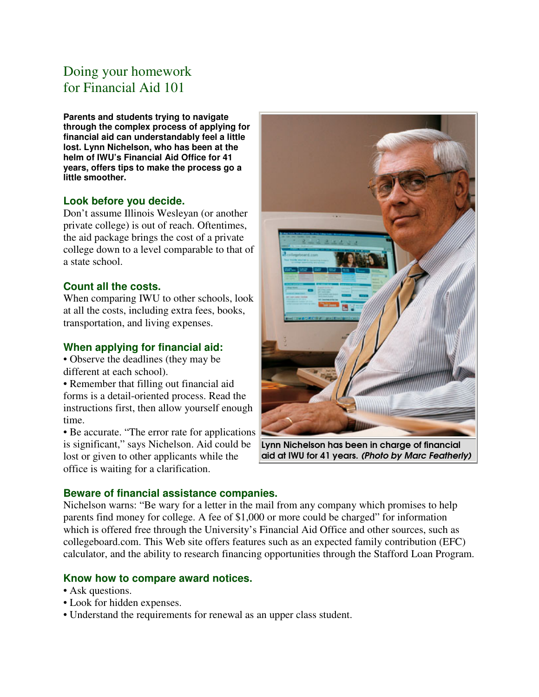# Doing your homework for Financial Aid 101

**Parents and students trying to navigate through the complex process of applying for financial aid can understandably feel a little lost. Lynn Nichelson, who has been at the helm of IWU's Financial Aid Office for 41 years, offers tips to make the process go a little smoother.**

#### **Look before you decide.**

Don't assume Illinois Wesleyan (or another private college) is out of reach. Oftentimes, the aid package brings the cost of a private college down to a level comparable to that of a state school.

### **Count all the costs.**

When comparing IWU to other schools, look at all the costs, including extra fees, books, transportation, and living expenses.

#### **When applying for financial aid:**

• Observe the deadlines (they may be different at each school).

• Remember that filling out financial aid forms is a detail-oriented process. Read the instructions first, then allow yourself enough time.

• Be accurate. "The error rate for applications is significant," says Nichelson. Aid could be lost or given to other applicants while the office is waiting for a clarification.



Lynn Nichelson has been in charge of financial aid at IWU for 41 years. (Photo by Marc Featherly)

### **Beware of financial assistance companies.**

Nichelson warns: "Be wary for a letter in the mail from any company which promises to help parents find money for college. A fee of \$1,000 or more could be charged" for information which is offered free through the University's Financial Aid Office and other sources, such as collegeboard.com. This Web site offers features such as an expected family contribution (EFC) calculator, and the ability to research financing opportunities through the Stafford Loan Program.

#### **Know how to compare award notices.**

- Ask questions.
- Look for hidden expenses.
- Understand the requirements for renewal as an upper class student.